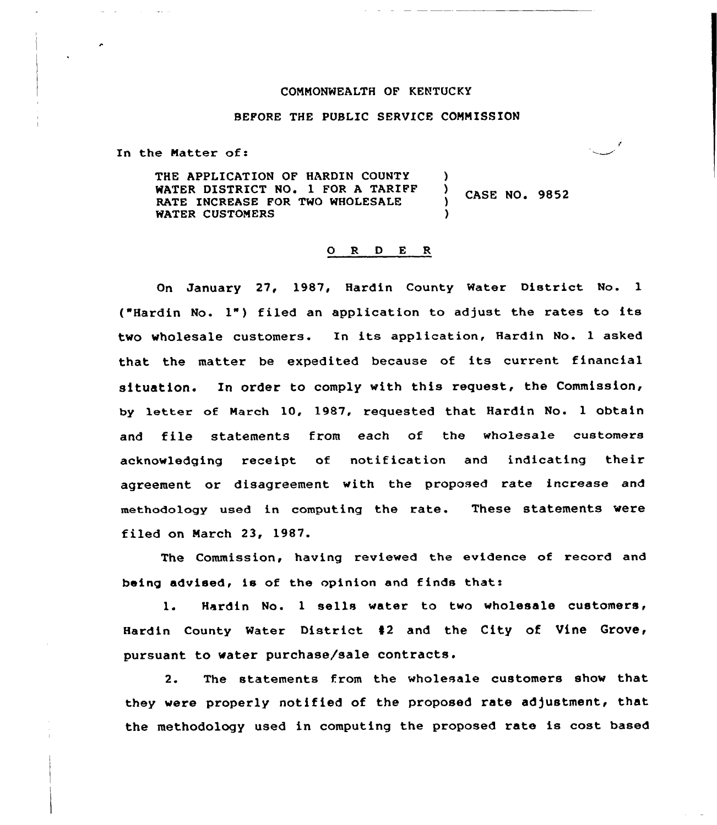## COMMONWEALTH OF KENTUCKY

## BEFORE THE PUBLIC SERVICE COMMISSION

In the Natter of:

THE APPLICATION OF HARDIN COUNTY WATER DISTRICT NO. 1 FOR A TARIFF RATE INCREASE FOR TWO WHOLESALE WATER CUSTOMERS )<br>)  $\frac{7}{1}$  CASE NO. 9852 )

## 0 R <sup>D</sup> E <sup>R</sup>

On January 27, 1987, Hardin County Water District No. 1 ("Hardin No. 1") filed an application to adjust the rates to its two wholesale customers. In its application, Hardin No. <sup>1</sup> asked that the matter be expedited because of its current financial situation. In order to comply with this request, the Commission, by letter of March 10, 1987, requested that Hardin No. 1 obtain and file statements from each of the wholesale customers acknowledging receipt of notification and indicating their agreement or disagreement with the proposed rate increase and methodology used in computing the rate. These statements were filed on March 23, 1987.

The Commission, having reviewed the evidence of record and being advised, is of the opinion and finds that:

1. Hardin No. 1 sells water to two wholesale customers, Hardin County Water District #2 and the City of Vine Grove, pursuant to water purchase/sale contracts.

2. The statements from the wholesale customers show that they vere properly notified of the proposed rate adjustment, that the methodology used in computing the proposed rate is cost based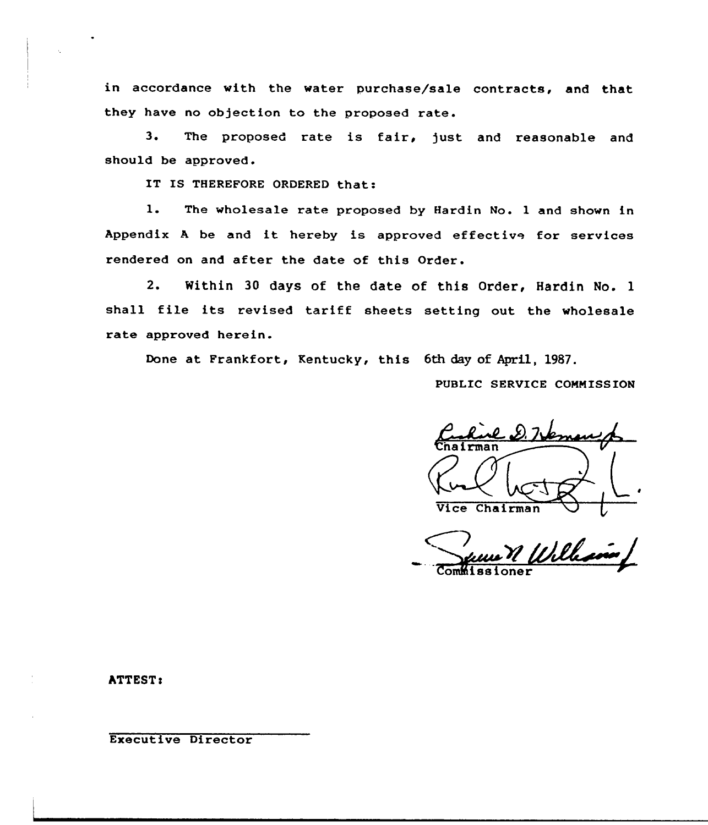in accordance with the water purchase/sale contracts, and that they have no objection to the proposed rate.

3. The proposed rate is fair, just and reasonable and should be approved.

IT IS THEREFORE ORDERED that:

1. The wholesale rate proposed by Hardin No. <sup>1</sup> and shown in Appendix <sup>A</sup> be and it hereby is approved effective for services rendered on and after the date of this Order.

2. Within 30 days of the date of this Order, Hardin No. 1 shall file its revised tariff sheets setting out the wholesale rate approved herein.

Done at Frankfort, Kentucky, this 6th day of April, 1987.

PUBLIC SERVICE COMMISSION

I Vice Chairman

v&~J

hTTEST!

Executive Director